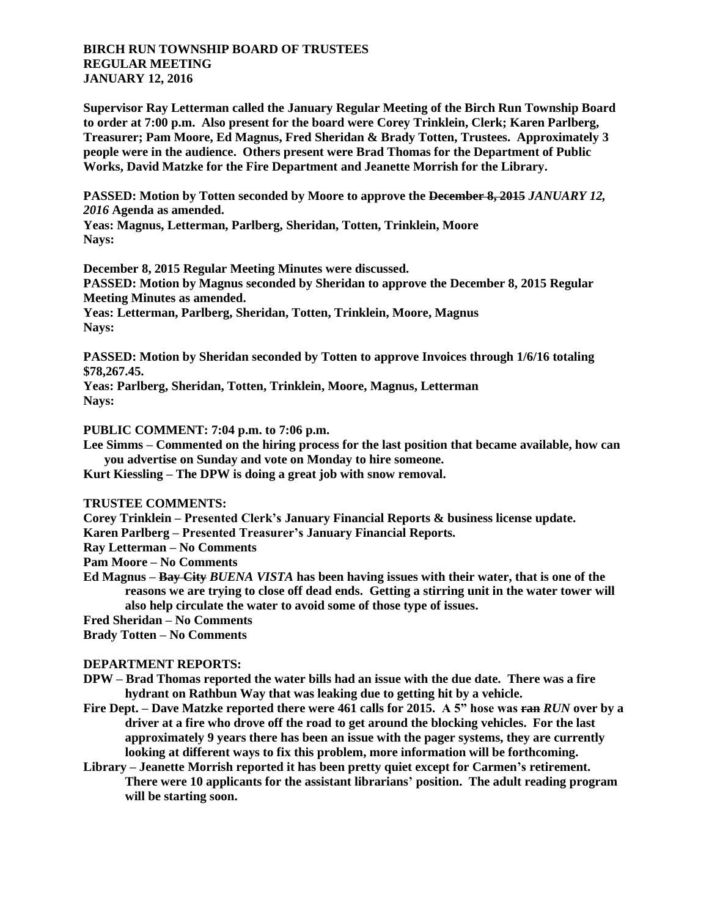## **BIRCH RUN TOWNSHIP BOARD OF TRUSTEES REGULAR MEETING JANUARY 12, 2016**

**Supervisor Ray Letterman called the January Regular Meeting of the Birch Run Township Board to order at 7:00 p.m. Also present for the board were Corey Trinklein, Clerk; Karen Parlberg, Treasurer; Pam Moore, Ed Magnus, Fred Sheridan & Brady Totten, Trustees. Approximately 3 people were in the audience. Others present were Brad Thomas for the Department of Public Works, David Matzke for the Fire Department and Jeanette Morrish for the Library.**

**PASSED: Motion by Totten seconded by Moore to approve the December 8, 2015** *JANUARY 12, 2016* **Agenda as amended.**

**Yeas: Magnus, Letterman, Parlberg, Sheridan, Totten, Trinklein, Moore Nays:** 

**December 8, 2015 Regular Meeting Minutes were discussed. PASSED: Motion by Magnus seconded by Sheridan to approve the December 8, 2015 Regular Meeting Minutes as amended. Yeas: Letterman, Parlberg, Sheridan, Totten, Trinklein, Moore, Magnus Nays:** 

**PASSED: Motion by Sheridan seconded by Totten to approve Invoices through 1/6/16 totaling \$78,267.45.**

**Yeas: Parlberg, Sheridan, Totten, Trinklein, Moore, Magnus, Letterman Nays:** 

**PUBLIC COMMENT: 7:04 p.m. to 7:06 p.m.**

**Lee Simms – Commented on the hiring process for the last position that became available, how can you advertise on Sunday and vote on Monday to hire someone.**

**Kurt Kiessling – The DPW is doing a great job with snow removal.**

**TRUSTEE COMMENTS:**

**Corey Trinklein – Presented Clerk's January Financial Reports & business license update.**

**Karen Parlberg – Presented Treasurer's January Financial Reports.**

**Ray Letterman – No Comments**

**Pam Moore – No Comments**

**Ed Magnus – Bay City** *BUENA VISTA* **has been having issues with their water, that is one of the reasons we are trying to close off dead ends. Getting a stirring unit in the water tower will also help circulate the water to avoid some of those type of issues.**

**Fred Sheridan – No Comments**

**Brady Totten – No Comments**

## **DEPARTMENT REPORTS:**

- **DPW – Brad Thomas reported the water bills had an issue with the due date. There was a fire hydrant on Rathbun Way that was leaking due to getting hit by a vehicle.**
- **Fire Dept. – Dave Matzke reported there were 461 calls for 2015. A 5" hose was ran** *RUN* **over by a driver at a fire who drove off the road to get around the blocking vehicles. For the last approximately 9 years there has been an issue with the pager systems, they are currently looking at different ways to fix this problem, more information will be forthcoming.**
- **Library – Jeanette Morrish reported it has been pretty quiet except for Carmen's retirement. There were 10 applicants for the assistant librarians' position. The adult reading program will be starting soon.**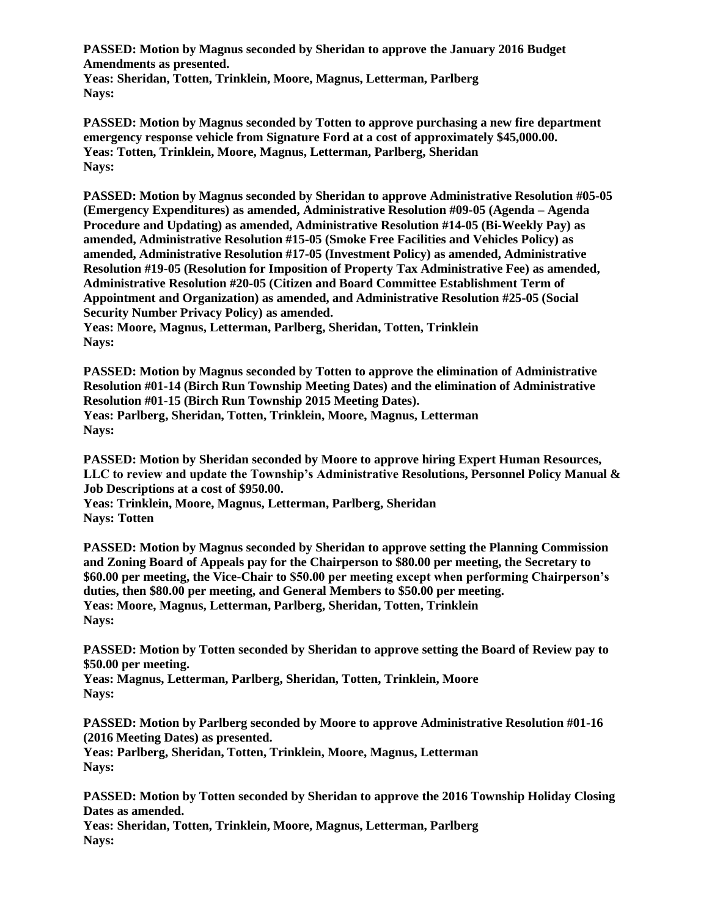**PASSED: Motion by Magnus seconded by Sheridan to approve the January 2016 Budget Amendments as presented.**

**Yeas: Sheridan, Totten, Trinklein, Moore, Magnus, Letterman, Parlberg Nays:** 

**PASSED: Motion by Magnus seconded by Totten to approve purchasing a new fire department emergency response vehicle from Signature Ford at a cost of approximately \$45,000.00. Yeas: Totten, Trinklein, Moore, Magnus, Letterman, Parlberg, Sheridan Nays:** 

**PASSED: Motion by Magnus seconded by Sheridan to approve Administrative Resolution #05-05 (Emergency Expenditures) as amended, Administrative Resolution #09-05 (Agenda – Agenda Procedure and Updating) as amended, Administrative Resolution #14-05 (Bi-Weekly Pay) as amended, Administrative Resolution #15-05 (Smoke Free Facilities and Vehicles Policy) as amended, Administrative Resolution #17-05 (Investment Policy) as amended, Administrative Resolution #19-05 (Resolution for Imposition of Property Tax Administrative Fee) as amended, Administrative Resolution #20-05 (Citizen and Board Committee Establishment Term of Appointment and Organization) as amended, and Administrative Resolution #25-05 (Social Security Number Privacy Policy) as amended.**

**Yeas: Moore, Magnus, Letterman, Parlberg, Sheridan, Totten, Trinklein Nays:** 

**PASSED: Motion by Magnus seconded by Totten to approve the elimination of Administrative Resolution #01-14 (Birch Run Township Meeting Dates) and the elimination of Administrative Resolution #01-15 (Birch Run Township 2015 Meeting Dates). Yeas: Parlberg, Sheridan, Totten, Trinklein, Moore, Magnus, Letterman Nays:** 

**PASSED: Motion by Sheridan seconded by Moore to approve hiring Expert Human Resources, LLC to review and update the Township's Administrative Resolutions, Personnel Policy Manual & Job Descriptions at a cost of \$950.00.**

**Yeas: Trinklein, Moore, Magnus, Letterman, Parlberg, Sheridan Nays: Totten**

**PASSED: Motion by Magnus seconded by Sheridan to approve setting the Planning Commission and Zoning Board of Appeals pay for the Chairperson to \$80.00 per meeting, the Secretary to \$60.00 per meeting, the Vice-Chair to \$50.00 per meeting except when performing Chairperson's duties, then \$80.00 per meeting, and General Members to \$50.00 per meeting. Yeas: Moore, Magnus, Letterman, Parlberg, Sheridan, Totten, Trinklein Nays:** 

**PASSED: Motion by Totten seconded by Sheridan to approve setting the Board of Review pay to \$50.00 per meeting.**

**Yeas: Magnus, Letterman, Parlberg, Sheridan, Totten, Trinklein, Moore Nays:** 

**PASSED: Motion by Parlberg seconded by Moore to approve Administrative Resolution #01-16 (2016 Meeting Dates) as presented.**

**Yeas: Parlberg, Sheridan, Totten, Trinklein, Moore, Magnus, Letterman Nays:** 

**PASSED: Motion by Totten seconded by Sheridan to approve the 2016 Township Holiday Closing Dates as amended.**

**Yeas: Sheridan, Totten, Trinklein, Moore, Magnus, Letterman, Parlberg Nays:**